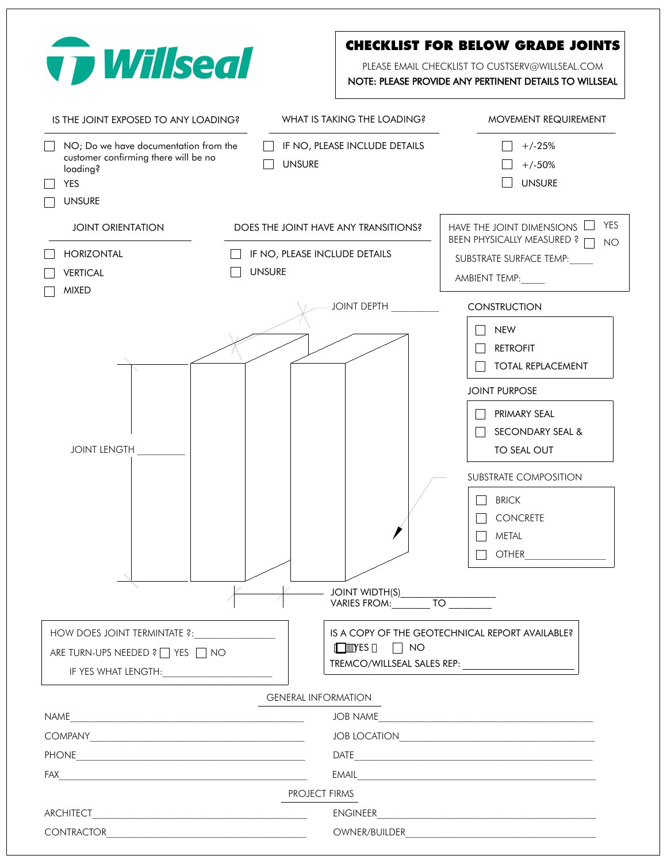| <b>v p Willseal</b>                                                                                                      |                                                        | <b>CHECKLIST FOR BELOW GRADE JOINTS</b><br>PLEASE EMAIL CHECKLIST TO CUSTSERV@WILLSEAL.COM<br>NOTE: PLEASE PROVIDE ANY PERTINENT DETAILS TO WILLSEAL |
|--------------------------------------------------------------------------------------------------------------------------|--------------------------------------------------------|------------------------------------------------------------------------------------------------------------------------------------------------------|
| IS THE JOINT EXPOSED TO ANY LOADING?                                                                                     | WHAT IS TAKING THE LOADING?                            | <b>MOVEMENT REQUIREMENT</b>                                                                                                                          |
| NO; Do we have documentation from the<br>customer confirming there will be no<br>loading?<br><b>YES</b><br><b>UNSURE</b> | IF NO, PLEASE INCLUDE DETAILS<br><b>UNSURE</b>         | $+/-25%$<br>$+/-50%$<br><b>UNSURE</b>                                                                                                                |
| <b>JOINT ORIENTATION</b>                                                                                                 | DOES THE JOINT HAVE ANY TRANSITIONS?                   | <b>YES</b><br>HAVE THE JOINT DIMENSIONS                                                                                                              |
| <b>HORIZONTAL</b><br><b>VERTICAL</b><br><b>MIXED</b>                                                                     | IF NO, PLEASE INCLUDE DETAILS<br><b>UNSURE</b>         | BEEN PHYSICALLY MEASURED ?<br>NO.<br>SUBSTRATE SURFACE TEMP:<br>AMBIENT TEMP:                                                                        |
|                                                                                                                          | <b>JOINT DEPTH</b>                                     | <b>CONSTRUCTION</b>                                                                                                                                  |
|                                                                                                                          |                                                        | <b>NEW</b><br><b>RETROFIT</b><br><b>TOTAL REPLACEMENT</b><br><b>JOINT PURPOSE</b><br>PRIMARY SEAL                                                    |
|                                                                                                                          |                                                        | <b>SECONDARY SEAL &amp;</b>                                                                                                                          |
| <b>JOINT LENGTH</b>                                                                                                      |                                                        | TO SEAL OUT                                                                                                                                          |
|                                                                                                                          | JOINT WIDTH(S)<br>VARIES FROM:__________ TO __________ | <b>SUBSTRATE COMPOSITION</b><br><b>BRICK</b><br>CONCRETE<br><b>METAL</b><br><b>OTHER</b><br><u> 1989 - Alexandr Alexandr III (</u>                   |
| HOW DOES JOINT TERMINTATE ?:                                                                                             |                                                        | IS A COPY OF THE GEOTECHNICAL REPORT AVAILABLE?                                                                                                      |
| ARE TURN-UPS NEEDED ? TYES TINO<br>IF YES WHAT LENGTH: <b>Annual Line Community Community</b>                            | $\Box$ YES $\Box$ NO                                   |                                                                                                                                                      |
|                                                                                                                          | <b>GENERAL INFORMATION</b>                             |                                                                                                                                                      |
| NAME                                                                                                                     | JOB NAME                                               | <u> 1989 - Johann Stein, mars an deus Amerikaansk kommunister (</u>                                                                                  |
| $COMPANY \underline{\hspace{2cm} \qquad \qquad \qquad }$                                                                 |                                                        | JOB LOCATION                                                                                                                                         |
|                                                                                                                          |                                                        |                                                                                                                                                      |
|                                                                                                                          |                                                        | EMAIL <b>Example 2008</b>                                                                                                                            |
|                                                                                                                          | <b>PROJECT FIRMS</b>                                   |                                                                                                                                                      |
|                                                                                                                          |                                                        |                                                                                                                                                      |
|                                                                                                                          |                                                        |                                                                                                                                                      |